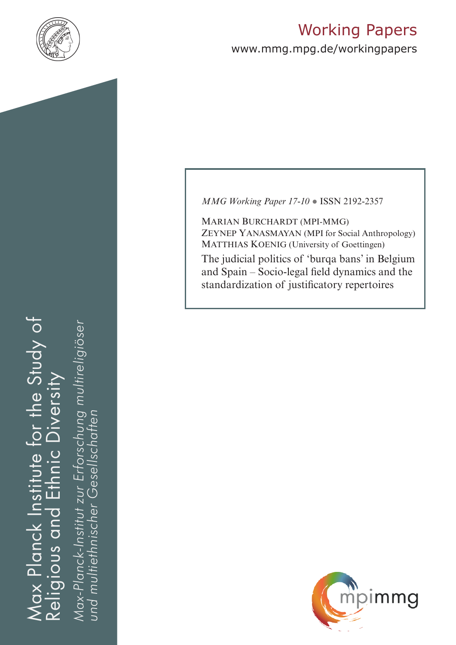

# Working Papers

www.mmg.mpg.de/workingpapers

# Max Planck Institute for the Study of Religious and Ethnic Diversity ax Planck Institute for the Study of Diversity  $\frac{C}{D}$ ய் Religious and

*Max-Planck-Institut zur Erforschung multireligiöser*  öser Max-Planck-Institut zur Erforschung multireli *und multiethnischer Gesellschaften*und multiethnischer Gesellschatter *MMG Working Paper 17-10* ● ISSN 2192-2357

Marian Burchardt (mpi-mmg) Zeynep Yanasmayan (MPI for Social Anthropology) MATTHIAS KOENIG (University of Goettingen) The judicial politics of 'burqa bans' in Belgium and Spain – Socio-legal field dynamics and the standardization of justificatory repertoires

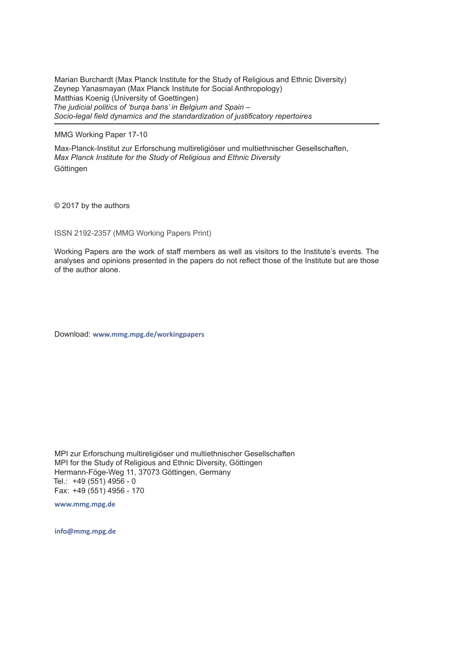Marian Burchardt (Max Planck Institute for the Study of Religious and Ethnic Diversity) Zeynep Yanasmayan (Max Planck Institute for Social Anthropology) Matthias Koenig (University of Goettingen) *The judicial politics of 'burqa bans' in Belgium and Spain – Socio-legal field dynamics and the standardization of justificatory repertoires* 

MMG Working Paper 17-10

Max-Planck-Institut zur Erforschung multireligiöser und multiethnischer Gesellschaften, *Max Planck Institute for the Study of Religious and Ethnic Diversity* Göttingen

© 2017 by the authors

ISSN 2192-2357 (MMG Working Papers Print)

Working Papers are the work of staff members as well as visitors to the Institute's events. The analyses and opinions presented in the papers do not reflect those of the Institute but are those of the author alone.

Download: **www.mmg.mpg.de/workingpapers** 

MPI zur Erforschung multireligiöser und multiethnischer Gesellschaften MPI for the Study of Religious and Ethnic Diversity, Göttingen Hermann-Föge-Weg 11, 37073 Göttingen, Germany Tel.: +49 (551) 4956 - 0 Fax: +49 (551) 4956 - 170

**www.mmg.mpg.de**

**info@mmg.mpg.de**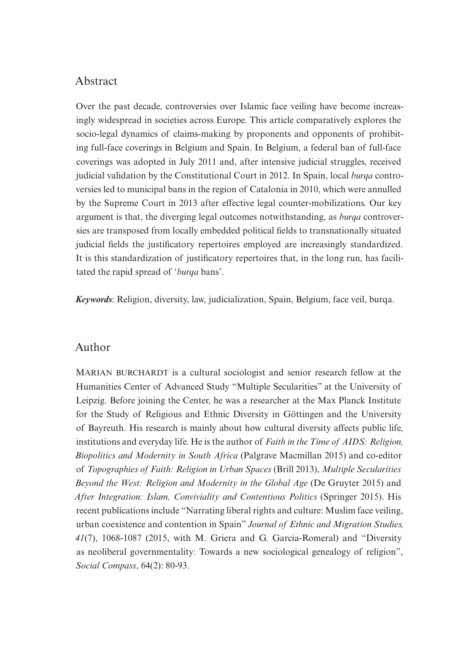# Abstract

Over the past decade, controversies over Islamic face veiling have become increasingly widespread in societies across Europe. This article comparatively explores the socio-legal dynamics of claims-making by proponents and opponents of prohibiting full-face coverings in Belgium and Spain. In Belgium, a federal ban of full-face coverings was adopted in July 2011 and, after intensive judicial struggles, received judicial validation by the Constitutional Court in 2012. In Spain, local *burqa* controversies led to municipal bans in the region of Catalonia in 2010, which were annulled by the Supreme Court in 2013 after effective legal counter-mobilizations. Our key argument is that, the diverging legal outcomes notwithstanding, as *burqa* controversies are transposed from locally embedded political fields to transnationally situated judicial fields the justificatory repertoires employed are increasingly standardized. It is this standardization of justificatory repertoires that, in the long run, has facilitated the rapid spread of '*burqa* bans'.

*Keywords*: Religion, diversity, law, judicialization, Spain, Belgium, face veil, burqa.

## Author

MARIAN BURCHARDT is a cultural sociologist and senior research fellow at the Humanities Center of Advanced Study "Multiple Secularities" at the University of Leipzig. Before joining the Center, he was a researcher at the Max Planck Institute for the Study of Religious and Ethnic Diversity in Göttingen and the University of Bayreuth. His research is mainly about how cultural diversity affects public life, institutions and everyday life. He is the author of *Faith in the Time of AIDS: Religion, Biopolitics and Modernity in South Africa* (Palgrave Macmillan 2015) and co-editor of *Topographies of Faith: Religion in Urban Spaces* (Brill 2013), *Multiple Secularities Beyond the West: Religion and Modernity in the Global Age* (De Gruyter 2015) and *After Integration: Islam, Conviviality and Contentious Politics* (Springer 2015). His recent publications include "Narrating liberal rights and culture: Muslim face veiling, urban coexistence and contention in Spain" *Journal of Ethnic and Migration Studies, 41*(7), 1068-1087 (2015, with M. Griera and G. Garcia-Romeral) and "Diversity as neoliberal governmentality: Towards a new sociological genealogy of religion", *Social Compass*, 64(2): 80-93.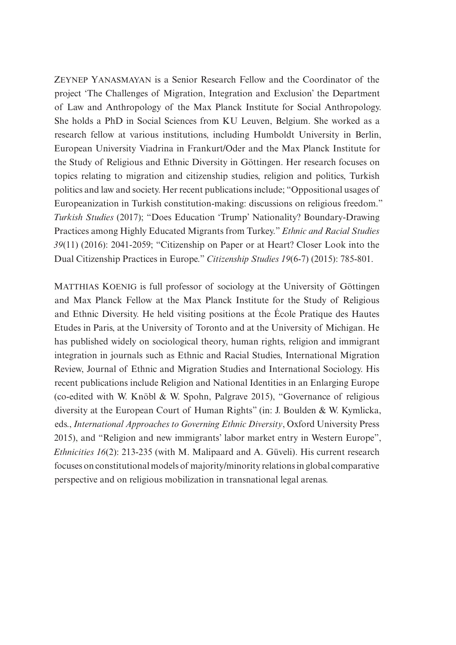Zeynep Yanasmayan is a Senior Research Fellow and the Coordinator of the project 'The Challenges of Migration, Integration and Exclusion' the Department of Law and Anthropology of the Max Planck Institute for Social Anthropology. She holds a PhD in Social Sciences from KU Leuven, Belgium. She worked as a research fellow at various institutions, including Humboldt University in Berlin, European University Viadrina in Frankurt/Oder and the Max Planck Institute for the Study of Religious and Ethnic Diversity in Göttingen. Her research focuses on topics relating to migration and citizenship studies, religion and politics, Turkish politics and law and society. Her recent publications include; "Oppositional usages of Europeanization in Turkish constitution-making: discussions on religious freedom." *Turkish Studies* (2017); "Does Education 'Trump' Nationality? Boundary-Drawing Practices among Highly Educated Migrants from Turkey." *Ethnic and Racial Studies 39*(11) (2016): 2041-2059; "Citizenship on Paper or at Heart? Closer Look into the Dual Citizenship Practices in Europe." *Citizenship Studies 19*(6-7) (2015): 785-801.

MATTHIAS KOENIG is full professor of sociology at the University of Göttingen and Max Planck Fellow at the Max Planck Institute for the Study of Religious and Ethnic Diversity. He held visiting positions at the École Pratique des Hautes Etudes in Paris, at the University of Toronto and at the University of Michigan. He has published widely on sociological theory, human rights, religion and immigrant integration in journals such as Ethnic and Racial Studies, International Migration Review, Journal of Ethnic and Migration Studies and International Sociology. His recent publications include Religion and National Identities in an Enlarging Europe (co-edited with W. Knöbl & W. Spohn, Palgrave 2015), "Governance of religious diversity at the European Court of Human Rights" (in: J. Boulden & W. Kymlicka, eds., *International Approaches to Governing Ethnic Diversity*, Oxford University Press 2015), and "Religion and new immigrants' labor market entry in Western Europe", *Ethnicities 16*(2): 213-235 (with M. Malipaard and A. Güveli). His current research focuses on constitutional models of majority/minority relations in global comparative perspective and on religious mobilization in transnational legal arenas.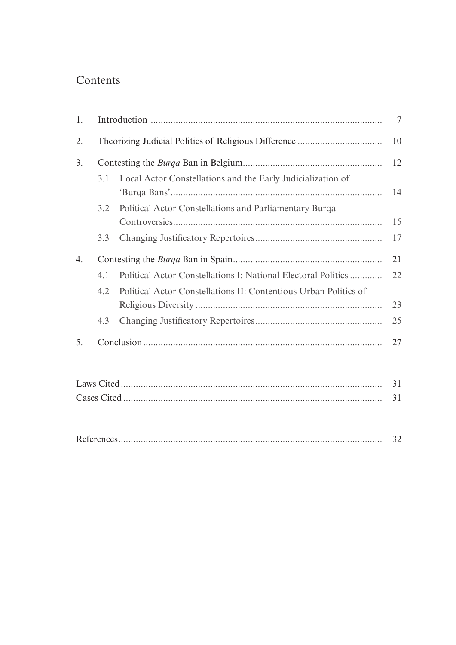# Contents

| 1.               |     |                                                                  | $\overline{7}$ |
|------------------|-----|------------------------------------------------------------------|----------------|
| 2.               |     |                                                                  | 10             |
| 3.               |     |                                                                  | 12             |
|                  | 3.1 | Local Actor Constellations and the Early Judicialization of      | 14             |
|                  | 3.2 | Political Actor Constellations and Parliamentary Burqa           |                |
|                  |     |                                                                  | 15             |
|                  | 3.3 |                                                                  | 17             |
| $\overline{4}$ . |     |                                                                  | 21             |
|                  | 4.1 | Political Actor Constellations I: National Electoral Politics    | 22             |
|                  | 4.2 | Political Actor Constellations II: Contentious Urban Politics of |                |
|                  |     |                                                                  | 23             |
|                  | 4.3 |                                                                  | 25             |
| 5.               |     |                                                                  | 27             |
|                  |     |                                                                  | 31             |
|                  |     |                                                                  |                |
|                  |     |                                                                  | 31             |
|                  |     |                                                                  | 32             |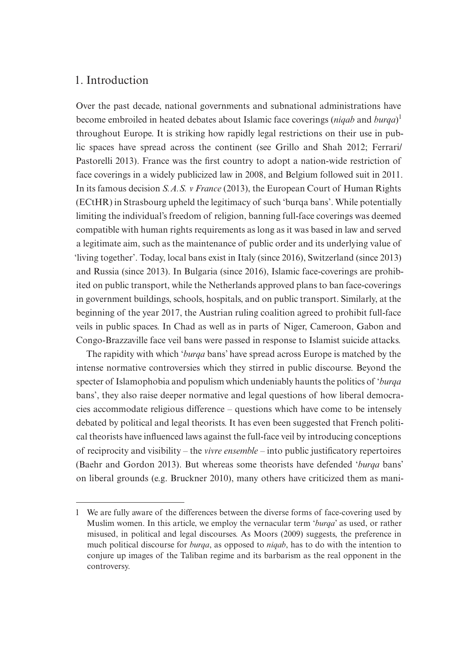# 1. Introduction

Over the past decade, national governments and subnational administrations have become embroiled in heated debates about Islamic face coverings (*niqab* and *burqa*) 1 throughout Europe. It is striking how rapidly legal restrictions on their use in public spaces have spread across the continent (see Grillo and Shah 2012; Ferrari/ Pastorelli 2013). France was the first country to adopt a nation-wide restriction of face coverings in a widely publicized law in 2008, and Belgium followed suit in 2011. In its famous decision *S.A.S. v France* (2013), the European Court of Human Rights (ECtHR) in Strasbourg upheld the legitimacy of such 'burqa bans'. While potentially limiting the individual's freedom of religion, banning full-face coverings was deemed compatible with human rights requirements as long as it was based in law and served a legitimate aim, such as the maintenance of public order and its underlying value of 'living together'. Today, local bans exist in Italy (since 2016), Switzerland (since 2013) and Russia (since 2013). In Bulgaria (since 2016), Islamic face-coverings are prohibited on public transport, while the Netherlands approved plans to ban face-coverings in government buildings, schools, hospitals, and on public transport. Similarly, at the beginning of the year 2017, the Austrian ruling coalition agreed to prohibit full-face veils in public spaces. In Chad as well as in parts of Niger, Cameroon, Gabon and Congo-Brazzaville face veil bans were passed in response to Islamist suicide attacks.

The rapidity with which '*burqa* bans' have spread across Europe is matched by the intense normative controversies which they stirred in public discourse. Beyond the specter of Islamophobia and populism which undeniably haunts the politics of '*burqa* bans', they also raise deeper normative and legal questions of how liberal democracies accommodate religious difference – questions which have come to be intensely debated by political and legal theorists. It has even been suggested that French political theorists have influenced laws against the full-face veil by introducing conceptions of reciprocity and visibility – the *vivre ensemble* – into public justificatory repertoires (Baehr and Gordon 2013). But whereas some theorists have defended '*burqa* bans' on liberal grounds (e.g. Bruckner 2010), many others have criticized them as mani-

<sup>1</sup> We are fully aware of the differences between the diverse forms of face-covering used by Muslim women. In this article, we employ the vernacular term '*burqa*' as used, or rather misused, in political and legal discourses. As Moors (2009) suggests, the preference in much political discourse for *burqa*, as opposed to *niqab*, has to do with the intention to conjure up images of the Taliban regime and its barbarism as the real opponent in the controversy.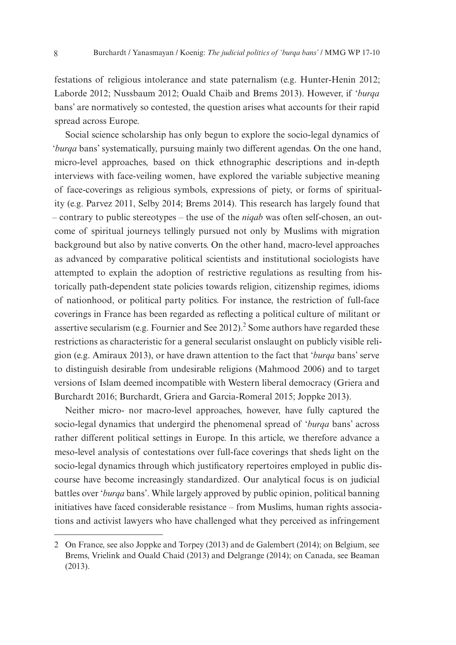festations of religious intolerance and state paternalism (e.g. Hunter-Henin 2012; Laborde 2012; Nussbaum 2012; Ouald Chaib and Brems 2013). However, if '*burqa* bans' are normatively so contested, the question arises what accounts for their rapid spread across Europe.

Social science scholarship has only begun to explore the socio-legal dynamics of '*burqa* bans' systematically, pursuing mainly two different agendas. On the one hand, micro-level approaches, based on thick ethnographic descriptions and in-depth interviews with face-veiling women, have explored the variable subjective meaning of face-coverings as religious symbols, expressions of piety, or forms of spirituality (e.g. Parvez 2011, Selby 2014; Brems 2014). This research has largely found that – contrary to public stereotypes – the use of the *niqab* was often self-chosen, an outcome of spiritual journeys tellingly pursued not only by Muslims with migration background but also by native converts. On the other hand, macro-level approaches as advanced by comparative political scientists and institutional sociologists have attempted to explain the adoption of restrictive regulations as resulting from historically path-dependent state policies towards religion, citizenship regimes, idioms of nationhood, or political party politics. For instance, the restriction of full-face coverings in France has been regarded as reflecting a political culture of militant or assertive secularism (e.g. Fournier and See  $2012$ ).<sup>2</sup> Some authors have regarded these restrictions as characteristic for a general secularist onslaught on publicly visible religion (e.g. Amiraux 2013), or have drawn attention to the fact that '*burqa* bans' serve to distinguish desirable from undesirable religions (Mahmood 2006) and to target versions of Islam deemed incompatible with Western liberal democracy (Griera and Burchardt 2016; Burchardt, Griera and Garcia-Romeral 2015; Joppke 2013).

Neither micro- nor macro-level approaches, however, have fully captured the socio-legal dynamics that undergird the phenomenal spread of '*burqa* bans' across rather different political settings in Europe. In this article, we therefore advance a meso-level analysis of contestations over full-face coverings that sheds light on the socio-legal dynamics through which justificatory repertoires employed in public discourse have become increasingly standardized. Our analytical focus is on judicial battles over '*burqa* bans'. While largely approved by public opinion, political banning initiatives have faced considerable resistance – from Muslims, human rights associations and activist lawyers who have challenged what they perceived as infringement

<sup>2</sup> On France, see also Joppke and Torpey (2013) and de Galembert (2014); on Belgium, see Brems, Vrielink and Ouald Chaid (2013) and Delgrange (2014); on Canada, see Beaman (2013).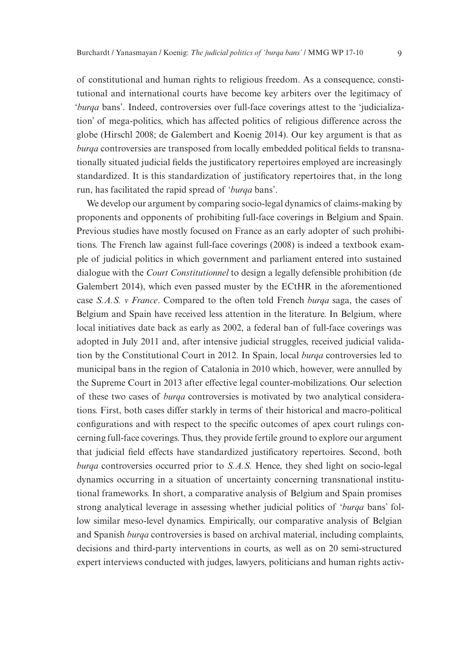of constitutional and human rights to religious freedom. As a consequence, constitutional and international courts have become key arbiters over the legitimacy of '*burqa* bans'. Indeed, controversies over full-face coverings attest to the 'judicialization' of mega-politics, which has affected politics of religious difference across the globe (Hirschl 2008; de Galembert and Koenig 2014). Our key argument is that as *burqa* controversies are transposed from locally embedded political fields to transnationally situated judicial fields the justificatory repertoires employed are increasingly standardized. It is this standardization of justificatory repertoires that, in the long run, has facilitated the rapid spread of '*burqa* bans'.

We develop our argument by comparing socio-legal dynamics of claims-making by proponents and opponents of prohibiting full-face coverings in Belgium and Spain. Previous studies have mostly focused on France as an early adopter of such prohibitions. The French law against full-face coverings (2008) is indeed a textbook example of judicial politics in which government and parliament entered into sustained dialogue with the *Court Constitutionnel* to design a legally defensible prohibition (de Galembert 2014), which even passed muster by the ECtHR in the aforementioned case *S.A.S. v France*. Compared to the often told French *burqa* saga, the cases of Belgium and Spain have received less attention in the literature. In Belgium, where local initiatives date back as early as 2002, a federal ban of full-face coverings was adopted in July 2011 and, after intensive judicial struggles, received judicial validation by the Constitutional Court in 2012. In Spain, local *burqa* controversies led to municipal bans in the region of Catalonia in 2010 which, however, were annulled by the Supreme Court in 2013 after effective legal counter-mobilizations. Our selection of these two cases of *burqa* controversies is motivated by two analytical considerations. First, both cases differ starkly in terms of their historical and macro-political configurations and with respect to the specific outcomes of apex court rulings concerning full-face coverings. Thus, they provide fertile ground to explore our argument that judicial field effects have standardized justificatory repertoires. Second, both *burga* controversies occurred prior to *S.A.S.* Hence, they shed light on socio-legal dynamics occurring in a situation of uncertainty concerning transnational institutional frameworks. In short, a comparative analysis of Belgium and Spain promises strong analytical leverage in assessing whether judicial politics of '*burqa* bans' follow similar meso-level dynamics. Empirically, our comparative analysis of Belgian and Spanish *burqa* controversies is based on archival material, including complaints, decisions and third-party interventions in courts, as well as on 20 semi-structured expert interviews conducted with judges, lawyers, politicians and human rights activ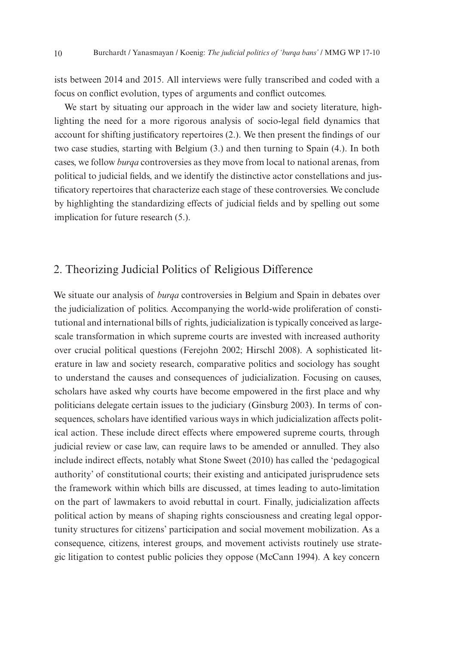ists between 2014 and 2015. All interviews were fully transcribed and coded with a focus on conflict evolution, types of arguments and conflict outcomes.

We start by situating our approach in the wider law and society literature, highlighting the need for a more rigorous analysis of socio-legal field dynamics that account for shifting justificatory repertoires (2.). We then present the findings of our two case studies, starting with Belgium (3.) and then turning to Spain (4.). In both cases, we follow *burqa* controversies as they move from local to national arenas, from political to judicial fields, and we identify the distinctive actor constellations and justificatory repertoires that characterize each stage of these controversies. We conclude by highlighting the standardizing effects of judicial fields and by spelling out some implication for future research (5.).

# 2. Theorizing Judicial Politics of Religious Difference

We situate our analysis of *burqa* controversies in Belgium and Spain in debates over the judicialization of politics. Accompanying the world-wide proliferation of constitutional and international bills of rights, judicialization is typically conceived as largescale transformation in which supreme courts are invested with increased authority over crucial political questions (Ferejohn 2002; Hirschl 2008). A sophisticated literature in law and society research, comparative politics and sociology has sought to understand the causes and consequences of judicialization. Focusing on causes, scholars have asked why courts have become empowered in the first place and why politicians delegate certain issues to the judiciary (Ginsburg 2003). In terms of consequences, scholars have identified various ways in which judicialization affects political action. These include direct effects where empowered supreme courts, through judicial review or case law, can require laws to be amended or annulled. They also include indirect effects, notably what Stone Sweet (2010) has called the 'pedagogical authority' of constitutional courts; their existing and anticipated jurisprudence sets the framework within which bills are discussed, at times leading to auto-limitation on the part of lawmakers to avoid rebuttal in court. Finally, judicialization affects political action by means of shaping rights consciousness and creating legal opportunity structures for citizens' participation and social movement mobilization. As a consequence, citizens, interest groups, and movement activists routinely use strategic litigation to contest public policies they oppose (McCann 1994). A key concern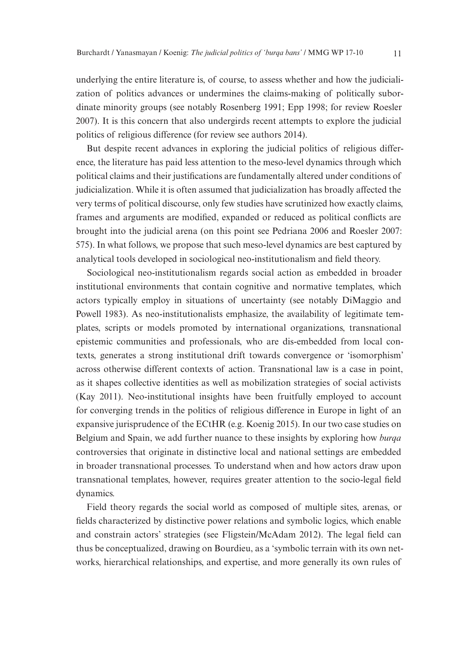underlying the entire literature is, of course, to assess whether and how the judicialization of politics advances or undermines the claims-making of politically subordinate minority groups (see notably Rosenberg 1991; Epp 1998; for review Roesler 2007). It is this concern that also undergirds recent attempts to explore the judicial politics of religious difference (for review see authors 2014).

But despite recent advances in exploring the judicial politics of religious difference, the literature has paid less attention to the meso-level dynamics through which political claims and their justifications are fundamentally altered under conditions of judicialization. While it is often assumed that judicialization has broadly affected the very terms of political discourse, only few studies have scrutinized how exactly claims, frames and arguments are modified, expanded or reduced as political conflicts are brought into the judicial arena (on this point see Pedriana 2006 and Roesler 2007: 575). In what follows, we propose that such meso-level dynamics are best captured by analytical tools developed in sociological neo-institutionalism and field theory.

Sociological neo-institutionalism regards social action as embedded in broader institutional environments that contain cognitive and normative templates, which actors typically employ in situations of uncertainty (see notably DiMaggio and Powell 1983). As neo-institutionalists emphasize, the availability of legitimate templates, scripts or models promoted by international organizations, transnational epistemic communities and professionals, who are dis-embedded from local contexts, generates a strong institutional drift towards convergence or 'isomorphism' across otherwise different contexts of action. Transnational law is a case in point, as it shapes collective identities as well as mobilization strategies of social activists (Kay 2011). Neo-institutional insights have been fruitfully employed to account for converging trends in the politics of religious difference in Europe in light of an expansive jurisprudence of the ECtHR (e.g. Koenig 2015). In our two case studies on Belgium and Spain, we add further nuance to these insights by exploring how *burqa* controversies that originate in distinctive local and national settings are embedded in broader transnational processes. To understand when and how actors draw upon transnational templates, however, requires greater attention to the socio-legal field dynamics.

Field theory regards the social world as composed of multiple sites, arenas, or fields characterized by distinctive power relations and symbolic logics, which enable and constrain actors' strategies (see Fligstein/McAdam 2012). The legal field can thus be conceptualized, drawing on Bourdieu, as a 'symbolic terrain with its own networks, hierarchical relationships, and expertise, and more generally its own rules of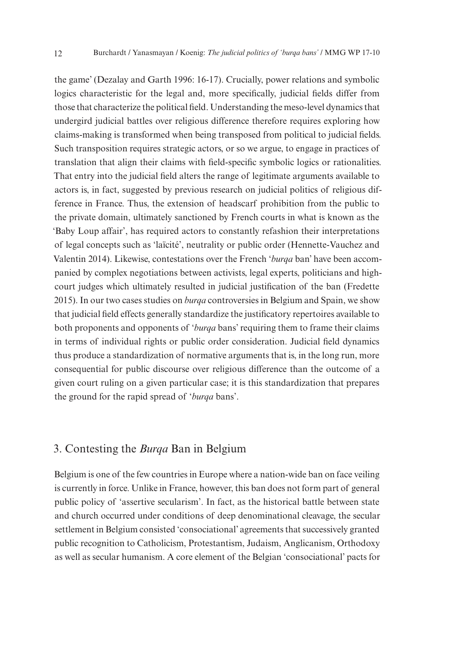the game' (Dezalay and Garth 1996: 16-17). Crucially, power relations and symbolic logics characteristic for the legal and, more specifically, judicial fields differ from those that characterize the political field. Understanding the meso-level dynamics that undergird judicial battles over religious difference therefore requires exploring how claims-making is transformed when being transposed from political to judicial fields. Such transposition requires strategic actors, or so we argue, to engage in practices of translation that align their claims with field-specific symbolic logics or rationalities. That entry into the judicial field alters the range of legitimate arguments available to actors is, in fact, suggested by previous research on judicial politics of religious difference in France. Thus, the extension of headscarf prohibition from the public to the private domain, ultimately sanctioned by French courts in what is known as the 'Baby Loup affair', has required actors to constantly refashion their interpretations of legal concepts such as 'laïcité', neutrality or public order (Hennette-Vauchez and Valentin 2014). Likewise, contestations over the French '*burqa* ban' have been accompanied by complex negotiations between activists, legal experts, politicians and highcourt judges which ultimately resulted in judicial justification of the ban (Fredette 2015). In our two cases studies on *burqa* controversies in Belgium and Spain, we show that judicial field effects generally standardize the justificatory repertoires available to both proponents and opponents of '*burqa* bans' requiring them to frame their claims in terms of individual rights or public order consideration. Judicial field dynamics thus produce a standardization of normative arguments that is, in the long run, more consequential for public discourse over religious difference than the outcome of a given court ruling on a given particular case; it is this standardization that prepares the ground for the rapid spread of '*burqa* bans'.

# 3. Contesting the *Burqa* Ban in Belgium

Belgium is one of the few countries in Europe where a nation-wide ban on face veiling is currently in force. Unlike in France, however, this ban does not form part of general public policy of 'assertive secularism'. In fact, as the historical battle between state and church occurred under conditions of deep denominational cleavage, the secular settlement in Belgium consisted 'consociational' agreements that successively granted public recognition to Catholicism, Protestantism, Judaism, Anglicanism, Orthodoxy as well as secular humanism. A core element of the Belgian 'consociational' pacts for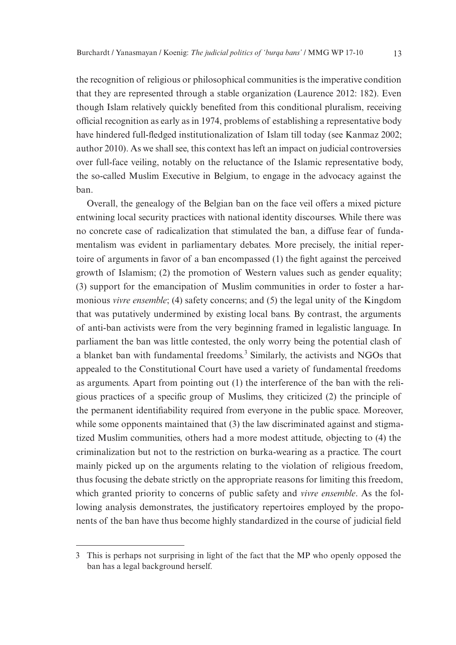the recognition of religious or philosophical communities is the imperative condition that they are represented through a stable organization (Laurence 2012: 182). Even though Islam relatively quickly benefited from this conditional pluralism, receiving official recognition as early as in 1974, problems of establishing a representative body have hindered full-fledged institutionalization of Islam till today (see Kanmaz 2002; author 2010). As we shall see, this context has left an impact on judicial controversies over full-face veiling, notably on the reluctance of the Islamic representative body, the so-called Muslim Executive in Belgium, to engage in the advocacy against the ban.

Overall, the genealogy of the Belgian ban on the face veil offers a mixed picture entwining local security practices with national identity discourses. While there was no concrete case of radicalization that stimulated the ban, a diffuse fear of fundamentalism was evident in parliamentary debates. More precisely, the initial repertoire of arguments in favor of a ban encompassed (1) the fight against the perceived growth of Islamism; (2) the promotion of Western values such as gender equality; (3) support for the emancipation of Muslim communities in order to foster a harmonious *vivre ensemble*; (4) safety concerns; and (5) the legal unity of the Kingdom that was putatively undermined by existing local bans. By contrast, the arguments of anti-ban activists were from the very beginning framed in legalistic language. In parliament the ban was little contested, the only worry being the potential clash of a blanket ban with fundamental freedoms.<sup>3</sup> Similarly, the activists and NGOs that appealed to the Constitutional Court have used a variety of fundamental freedoms as arguments. Apart from pointing out (1) the interference of the ban with the religious practices of a specific group of Muslims, they criticized (2) the principle of the permanent identifiability required from everyone in the public space. Moreover, while some opponents maintained that (3) the law discriminated against and stigmatized Muslim communities, others had a more modest attitude, objecting to (4) the criminalization but not to the restriction on burka-wearing as a practice. The court mainly picked up on the arguments relating to the violation of religious freedom, thus focusing the debate strictly on the appropriate reasons for limiting this freedom, which granted priority to concerns of public safety and *vivre ensemble*. As the following analysis demonstrates, the justificatory repertoires employed by the proponents of the ban have thus become highly standardized in the course of judicial field

<sup>3</sup> This is perhaps not surprising in light of the fact that the MP who openly opposed the ban has a legal background herself.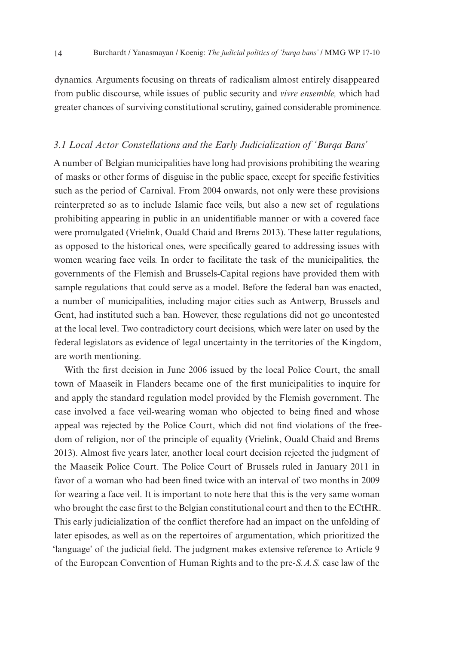dynamics. Arguments focusing on threats of radicalism almost entirely disappeared from public discourse, while issues of public security and *vivre ensemble,* which had greater chances of surviving constitutional scrutiny, gained considerable prominence*.*

#### *3.1 Local Actor Constellations and the Early Judicialization of 'Burqa Bans'*

A number of Belgian municipalities have long had provisions prohibiting the wearing of masks or other forms of disguise in the public space, except for specific festivities such as the period of Carnival. From 2004 onwards, not only were these provisions reinterpreted so as to include Islamic face veils, but also a new set of regulations prohibiting appearing in public in an unidentifiable manner or with a covered face were promulgated (Vrielink, Ouald Chaid and Brems 2013). These latter regulations, as opposed to the historical ones, were specifically geared to addressing issues with women wearing face veils. In order to facilitate the task of the municipalities, the governments of the Flemish and Brussels-Capital regions have provided them with sample regulations that could serve as a model. Before the federal ban was enacted, a number of municipalities, including major cities such as Antwerp, Brussels and Gent, had instituted such a ban. However, these regulations did not go uncontested at the local level. Two contradictory court decisions, which were later on used by the federal legislators as evidence of legal uncertainty in the territories of the Kingdom, are worth mentioning.

With the first decision in June 2006 issued by the local Police Court, the small town of Maaseik in Flanders became one of the first municipalities to inquire for and apply the standard regulation model provided by the Flemish government. The case involved a face veil-wearing woman who objected to being fined and whose appeal was rejected by the Police Court, which did not find violations of the freedom of religion, nor of the principle of equality (Vrielink, Ouald Chaid and Brems 2013). Almost five years later, another local court decision rejected the judgment of the Maaseik Police Court. The Police Court of Brussels ruled in January 2011 in favor of a woman who had been fined twice with an interval of two months in 2009 for wearing a face veil. It is important to note here that this is the very same woman who brought the case first to the Belgian constitutional court and then to the ECtHR. This early judicialization of the conflict therefore had an impact on the unfolding of later episodes, as well as on the repertoires of argumentation, which prioritized the 'language' of the judicial field. The judgment makes extensive reference to Article 9 of the European Convention of Human Rights and to the pre-*S.A.S.* case law of the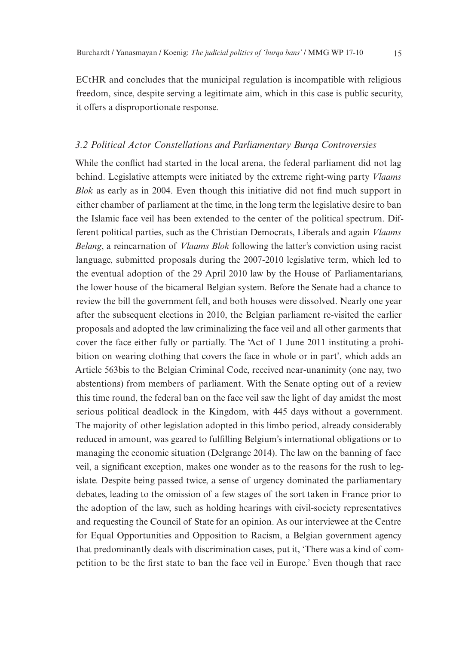ECtHR and concludes that the municipal regulation is incompatible with religious freedom, since, despite serving a legitimate aim, which in this case is public security, it offers a disproportionate response.

#### *3.2 Political Actor Constellations and Parliamentary Burqa Controversies*

While the conflict had started in the local arena, the federal parliament did not lag behind. Legislative attempts were initiated by the extreme right-wing party *Vlaams Blok* as early as in 2004. Even though this initiative did not find much support in either chamber of parliament at the time, in the long term the legislative desire to ban the Islamic face veil has been extended to the center of the political spectrum. Different political parties, such as the Christian Democrats, Liberals and again *Vlaams Belang*, a reincarnation of *Vlaams Blok* following the latter's conviction using racist language, submitted proposals during the 2007-2010 legislative term, which led to the eventual adoption of the 29 April 2010 law by the House of Parliamentarians, the lower house of the bicameral Belgian system. Before the Senate had a chance to review the bill the government fell, and both houses were dissolved. Nearly one year after the subsequent elections in 2010, the Belgian parliament re-visited the earlier proposals and adopted the law criminalizing the face veil and all other garments that cover the face either fully or partially. The 'Act of 1 June 2011 instituting a prohibition on wearing clothing that covers the face in whole or in part', which adds an Article 563bis to the Belgian Criminal Code, received near-unanimity (one nay, two abstentions) from members of parliament. With the Senate opting out of a review this time round, the federal ban on the face veil saw the light of day amidst the most serious political deadlock in the Kingdom, with 445 days without a government. The majority of other legislation adopted in this limbo period, already considerably reduced in amount, was geared to fulfilling Belgium's international obligations or to managing the economic situation (Delgrange 2014). The law on the banning of face veil, a significant exception, makes one wonder as to the reasons for the rush to legislate. Despite being passed twice, a sense of urgency dominated the parliamentary debates, leading to the omission of a few stages of the sort taken in France prior to the adoption of the law, such as holding hearings with civil-society representatives and requesting the Council of State for an opinion. As our interviewee at the Centre for Equal Opportunities and Opposition to Racism, a Belgian government agency that predominantly deals with discrimination cases, put it, 'There was a kind of competition to be the first state to ban the face veil in Europe.' Even though that race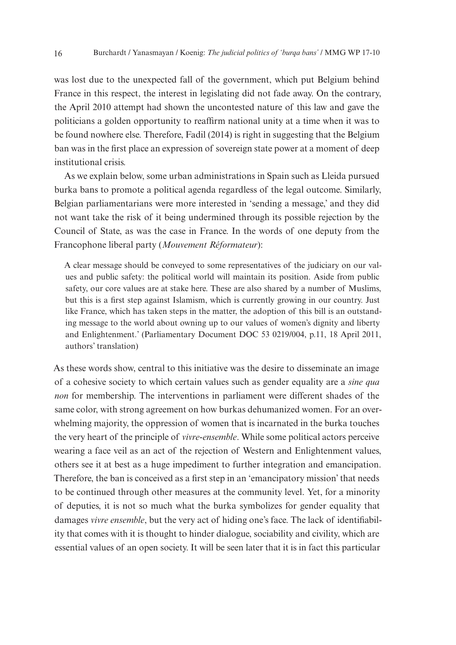was lost due to the unexpected fall of the government, which put Belgium behind France in this respect, the interest in legislating did not fade away. On the contrary, the April 2010 attempt had shown the uncontested nature of this law and gave the politicians a golden opportunity to reaffirm national unity at a time when it was to be found nowhere else. Therefore, Fadil (2014) is right in suggesting that the Belgium ban was in the first place an expression of sovereign state power at a moment of deep institutional crisis.

As we explain below, some urban administrations in Spain such as Lleida pursued burka bans to promote a political agenda regardless of the legal outcome. Similarly, Belgian parliamentarians were more interested in 'sending a message,' and they did not want take the risk of it being undermined through its possible rejection by the Council of State, as was the case in France. In the words of one deputy from the Francophone liberal party (*Mouvement Réformateur*):

A clear message should be conveyed to some representatives of the judiciary on our values and public safety: the political world will maintain its position. Aside from public safety, our core values are at stake here. These are also shared by a number of Muslims, but this is a first step against Islamism, which is currently growing in our country. Just like France, which has taken steps in the matter, the adoption of this bill is an outstanding message to the world about owning up to our values of women's dignity and liberty and Enlightenment.' (Parliamentary Document DOC 53 0219/004, p.11, 18 April 2011, authors' translation)

As these words show, central to this initiative was the desire to disseminate an image of a cohesive society to which certain values such as gender equality are a *sine qua non* for membership. The interventions in parliament were different shades of the same color, with strong agreement on how burkas dehumanized women. For an overwhelming majority, the oppression of women that is incarnated in the burka touches the very heart of the principle of *vivre-ensemble*. While some political actors perceive wearing a face veil as an act of the rejection of Western and Enlightenment values, others see it at best as a huge impediment to further integration and emancipation. Therefore, the ban is conceived as a first step in an 'emancipatory mission' that needs to be continued through other measures at the community level. Yet, for a minority of deputies, it is not so much what the burka symbolizes for gender equality that damages *vivre ensemble*, but the very act of hiding one's face. The lack of identifiability that comes with it is thought to hinder dialogue, sociability and civility, which are essential values of an open society. It will be seen later that it is in fact this particular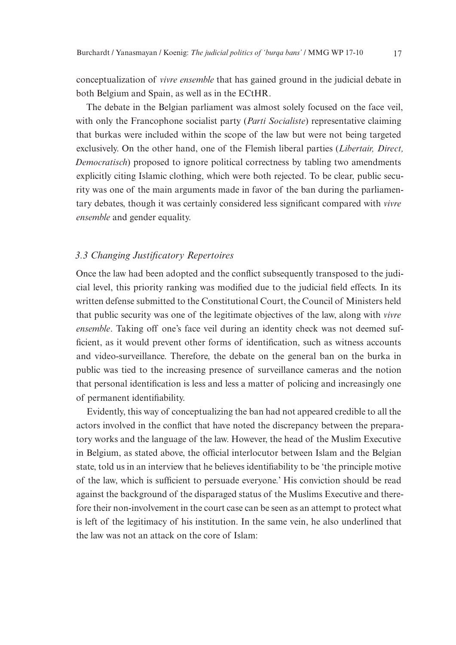conceptualization of *vivre ensemble* that has gained ground in the judicial debate in both Belgium and Spain, as well as in the ECtHR.

The debate in the Belgian parliament was almost solely focused on the face veil, with only the Francophone socialist party (*Parti Socialiste*) representative claiming that burkas were included within the scope of the law but were not being targeted exclusively. On the other hand, one of the Flemish liberal parties (*Libertair, Direct, Democratisch*) proposed to ignore political correctness by tabling two amendments explicitly citing Islamic clothing, which were both rejected. To be clear, public security was one of the main arguments made in favor of the ban during the parliamentary debates, though it was certainly considered less significant compared with *vivre ensemble* and gender equality.

#### *3.3 Changing Justificatory Repertoires*

Once the law had been adopted and the conflict subsequently transposed to the judicial level, this priority ranking was modified due to the judicial field effects. In its written defense submitted to the Constitutional Court, the Council of Ministers held that public security was one of the legitimate objectives of the law, along with *vivre ensemble*. Taking off one's face veil during an identity check was not deemed sufficient, as it would prevent other forms of identification, such as witness accounts and video-surveillance. Therefore, the debate on the general ban on the burka in public was tied to the increasing presence of surveillance cameras and the notion that personal identification is less and less a matter of policing and increasingly one of permanent identifiability.

Evidently, this way of conceptualizing the ban had not appeared credible to all the actors involved in the conflict that have noted the discrepancy between the preparatory works and the language of the law. However, the head of the Muslim Executive in Belgium, as stated above, the official interlocutor between Islam and the Belgian state, told us in an interview that he believes identifiability to be 'the principle motive of the law, which is sufficient to persuade everyone.' His conviction should be read against the background of the disparaged status of the Muslims Executive and therefore their non-involvement in the court case can be seen as an attempt to protect what is left of the legitimacy of his institution. In the same vein, he also underlined that the law was not an attack on the core of Islam: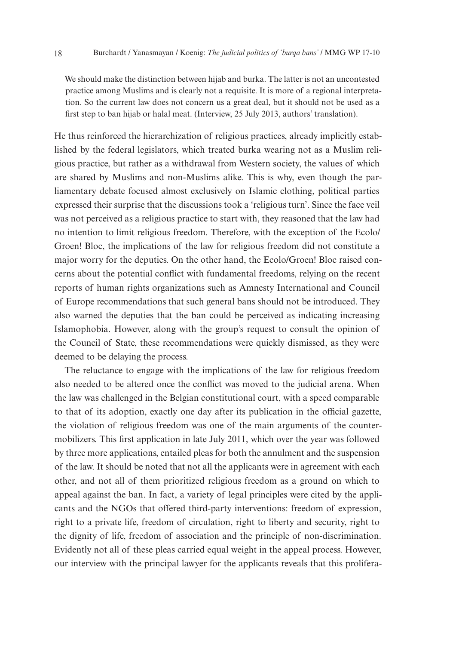We should make the distinction between hijab and burka. The latter is not an uncontested practice among Muslims and is clearly not a requisite. It is more of a regional interpretation. So the current law does not concern us a great deal, but it should not be used as a first step to ban hijab or halal meat. (Interview, 25 July 2013, authors' translation).

He thus reinforced the hierarchization of religious practices, already implicitly established by the federal legislators, which treated burka wearing not as a Muslim religious practice, but rather as a withdrawal from Western society, the values of which are shared by Muslims and non-Muslims alike. This is why, even though the parliamentary debate focused almost exclusively on Islamic clothing, political parties expressed their surprise that the discussions took a 'religious turn'. Since the face veil was not perceived as a religious practice to start with, they reasoned that the law had no intention to limit religious freedom. Therefore, with the exception of the Ecolo/ Groen! Bloc, the implications of the law for religious freedom did not constitute a major worry for the deputies. On the other hand, the Ecolo/Groen! Bloc raised concerns about the potential conflict with fundamental freedoms, relying on the recent reports of human rights organizations such as Amnesty International and Council of Europe recommendations that such general bans should not be introduced. They also warned the deputies that the ban could be perceived as indicating increasing Islamophobia. However, along with the group's request to consult the opinion of the Council of State, these recommendations were quickly dismissed, as they were deemed to be delaying the process.

The reluctance to engage with the implications of the law for religious freedom also needed to be altered once the conflict was moved to the judicial arena. When the law was challenged in the Belgian constitutional court, with a speed comparable to that of its adoption, exactly one day after its publication in the official gazette, the violation of religious freedom was one of the main arguments of the countermobilizers. This first application in late July 2011, which over the year was followed by three more applications, entailed pleas for both the annulment and the suspension of the law. It should be noted that not all the applicants were in agreement with each other, and not all of them prioritized religious freedom as a ground on which to appeal against the ban. In fact, a variety of legal principles were cited by the applicants and the NGOs that offered third-party interventions: freedom of expression, right to a private life, freedom of circulation, right to liberty and security, right to the dignity of life, freedom of association and the principle of non-discrimination. Evidently not all of these pleas carried equal weight in the appeal process. However, our interview with the principal lawyer for the applicants reveals that this prolifera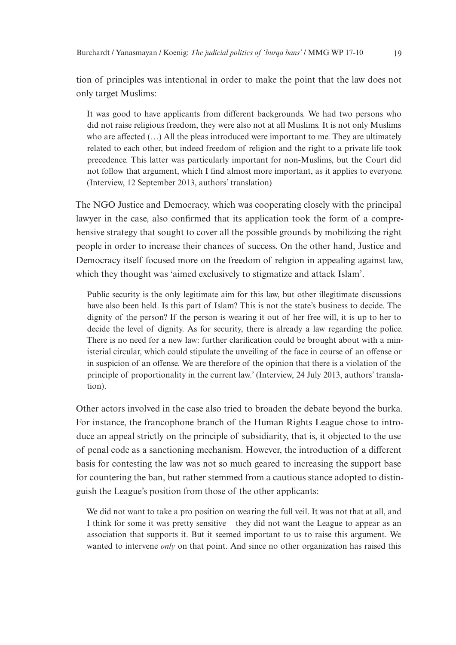tion of principles was intentional in order to make the point that the law does not only target Muslims:

It was good to have applicants from different backgrounds. We had two persons who did not raise religious freedom, they were also not at all Muslims. It is not only Muslims who are affected (…) All the pleas introduced were important to me. They are ultimately related to each other, but indeed freedom of religion and the right to a private life took precedence. This latter was particularly important for non-Muslims, but the Court did not follow that argument, which I find almost more important, as it applies to everyone. (Interview, 12 September 2013, authors' translation)

The NGO Justice and Democracy, which was cooperating closely with the principal lawyer in the case, also confirmed that its application took the form of a comprehensive strategy that sought to cover all the possible grounds by mobilizing the right people in order to increase their chances of success. On the other hand, Justice and Democracy itself focused more on the freedom of religion in appealing against law, which they thought was 'aimed exclusively to stigmatize and attack Islam'.

Public security is the only legitimate aim for this law, but other illegitimate discussions have also been held. Is this part of Islam? This is not the state's business to decide. The dignity of the person? If the person is wearing it out of her free will, it is up to her to decide the level of dignity. As for security, there is already a law regarding the police. There is no need for a new law: further clarification could be brought about with a ministerial circular, which could stipulate the unveiling of the face in course of an offense or in suspicion of an offense. We are therefore of the opinion that there is a violation of the principle of proportionality in the current law.' (Interview, 24 July 2013, authors' translation).

Other actors involved in the case also tried to broaden the debate beyond the burka. For instance, the francophone branch of the Human Rights League chose to introduce an appeal strictly on the principle of subsidiarity, that is, it objected to the use of penal code as a sanctioning mechanism. However, the introduction of a different basis for contesting the law was not so much geared to increasing the support base for countering the ban, but rather stemmed from a cautious stance adopted to distinguish the League's position from those of the other applicants:

We did not want to take a pro position on wearing the full veil. It was not that at all, and I think for some it was pretty sensitive – they did not want the League to appear as an association that supports it. But it seemed important to us to raise this argument. We wanted to intervene *only* on that point. And since no other organization has raised this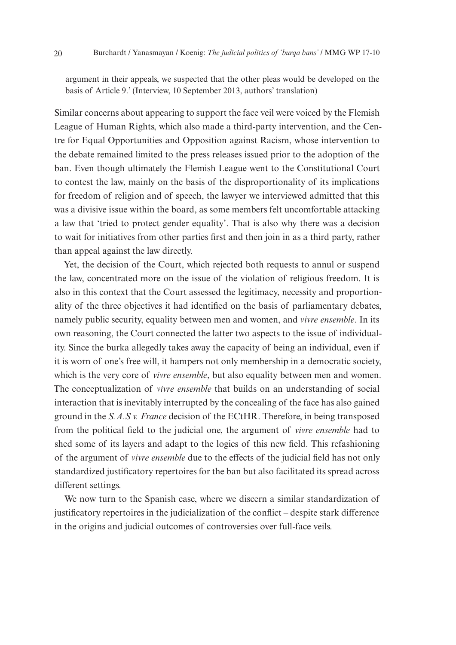argument in their appeals, we suspected that the other pleas would be developed on the basis of Article 9.' (Interview, 10 September 2013, authors' translation)

Similar concerns about appearing to support the face veil were voiced by the Flemish League of Human Rights, which also made a third-party intervention, and the Centre for Equal Opportunities and Opposition against Racism, whose intervention to the debate remained limited to the press releases issued prior to the adoption of the ban. Even though ultimately the Flemish League went to the Constitutional Court to contest the law, mainly on the basis of the disproportionality of its implications for freedom of religion and of speech, the lawyer we interviewed admitted that this was a divisive issue within the board, as some members felt uncomfortable attacking a law that 'tried to protect gender equality'. That is also why there was a decision to wait for initiatives from other parties first and then join in as a third party, rather than appeal against the law directly.

Yet, the decision of the Court, which rejected both requests to annul or suspend the law, concentrated more on the issue of the violation of religious freedom. It is also in this context that the Court assessed the legitimacy, necessity and proportionality of the three objectives it had identified on the basis of parliamentary debates, namely public security, equality between men and women, and *vivre ensemble*. In its own reasoning, the Court connected the latter two aspects to the issue of individuality. Since the burka allegedly takes away the capacity of being an individual, even if it is worn of one's free will, it hampers not only membership in a democratic society, which is the very core of *vivre ensemble*, but also equality between men and women. The conceptualization of *vivre ensemble* that builds on an understanding of social interaction that is inevitably interrupted by the concealing of the face has also gained ground in the *S.A.S v. France* decision of the ECtHR. Therefore, in being transposed from the political field to the judicial one, the argument of *vivre ensemble* had to shed some of its layers and adapt to the logics of this new field. This refashioning of the argument of *vivre ensemble* due to the effects of the judicial field has not only standardized justificatory repertoires for the ban but also facilitated its spread across different settings.

We now turn to the Spanish case, where we discern a similar standardization of justificatory repertoires in the judicialization of the conflict – despite stark difference in the origins and judicial outcomes of controversies over full-face veils.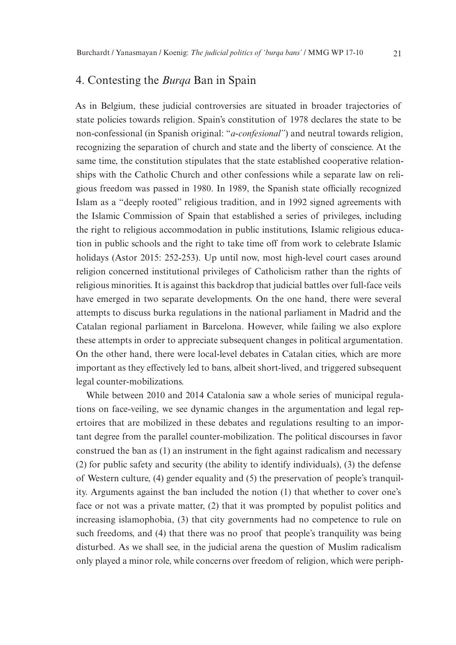# 4. Contesting the *Burqa* Ban in Spain

As in Belgium, these judicial controversies are situated in broader trajectories of state policies towards religion. Spain's constitution of 1978 declares the state to be non-confessional (in Spanish original: "*a-confesional"*) and neutral towards religion, recognizing the separation of church and state and the liberty of conscience. At the same time, the constitution stipulates that the state established cooperative relationships with the Catholic Church and other confessions while a separate law on religious freedom was passed in 1980. In 1989, the Spanish state officially recognized Islam as a "deeply rooted" religious tradition, and in 1992 signed agreements with the Islamic Commission of Spain that established a series of privileges, including the right to religious accommodation in public institutions, Islamic religious education in public schools and the right to take time off from work to celebrate Islamic holidays (Astor 2015: 252-253). Up until now, most high-level court cases around religion concerned institutional privileges of Catholicism rather than the rights of religious minorities. It is against this backdrop that judicial battles over full-face veils have emerged in two separate developments. On the one hand, there were several attempts to discuss burka regulations in the national parliament in Madrid and the Catalan regional parliament in Barcelona. However, while failing we also explore these attempts in order to appreciate subsequent changes in political argumentation. On the other hand, there were local-level debates in Catalan cities, which are more important as they effectively led to bans, albeit short-lived, and triggered subsequent legal counter-mobilizations.

While between 2010 and 2014 Catalonia saw a whole series of municipal regulations on face-veiling, we see dynamic changes in the argumentation and legal repertoires that are mobilized in these debates and regulations resulting to an important degree from the parallel counter-mobilization. The political discourses in favor construed the ban as (1) an instrument in the fight against radicalism and necessary (2) for public safety and security (the ability to identify individuals), (3) the defense of Western culture, (4) gender equality and (5) the preservation of people's tranquility. Arguments against the ban included the notion (1) that whether to cover one's face or not was a private matter, (2) that it was prompted by populist politics and increasing islamophobia, (3) that city governments had no competence to rule on such freedoms, and (4) that there was no proof that people's tranquility was being disturbed. As we shall see, in the judicial arena the question of Muslim radicalism only played a minor role, while concerns over freedom of religion, which were periph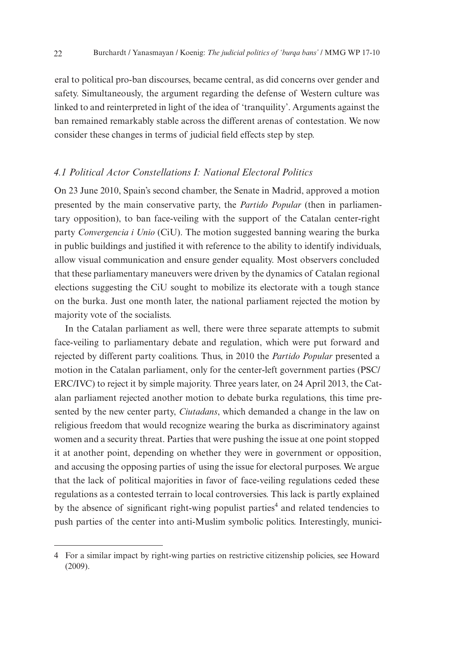eral to political pro-ban discourses, became central, as did concerns over gender and safety. Simultaneously, the argument regarding the defense of Western culture was linked to and reinterpreted in light of the idea of 'tranquility'. Arguments against the ban remained remarkably stable across the different arenas of contestation. We now consider these changes in terms of judicial field effects step by step.

#### *4.1 Political Actor Constellations I: National Electoral Politics*

On 23 June 2010, Spain's second chamber, the Senate in Madrid, approved a motion presented by the main conservative party, the *Partido Popular* (then in parliamentary opposition), to ban face-veiling with the support of the Catalan center-right party *Convergencia i Unio* (CiU). The motion suggested banning wearing the burka in public buildings and justified it with reference to the ability to identify individuals, allow visual communication and ensure gender equality. Most observers concluded that these parliamentary maneuvers were driven by the dynamics of Catalan regional elections suggesting the CiU sought to mobilize its electorate with a tough stance on the burka. Just one month later, the national parliament rejected the motion by majority vote of the socialists.

In the Catalan parliament as well, there were three separate attempts to submit face-veiling to parliamentary debate and regulation, which were put forward and rejected by different party coalitions. Thus, in 2010 the *Partido Popular* presented a motion in the Catalan parliament, only for the center-left government parties (PSC/ ERC/IVC) to reject it by simple majority. Three years later, on 24 April 2013, the Catalan parliament rejected another motion to debate burka regulations, this time presented by the new center party, *Ciutadans*, which demanded a change in the law on religious freedom that would recognize wearing the burka as discriminatory against women and a security threat. Parties that were pushing the issue at one point stopped it at another point, depending on whether they were in government or opposition, and accusing the opposing parties of using the issue for electoral purposes. We argue that the lack of political majorities in favor of face-veiling regulations ceded these regulations as a contested terrain to local controversies. This lack is partly explained by the absence of significant right-wing populist parties<sup>4</sup> and related tendencies to push parties of the center into anti-Muslim symbolic politics. Interestingly, munici-

<sup>4</sup> For a similar impact by right-wing parties on restrictive citizenship policies, see Howard (2009).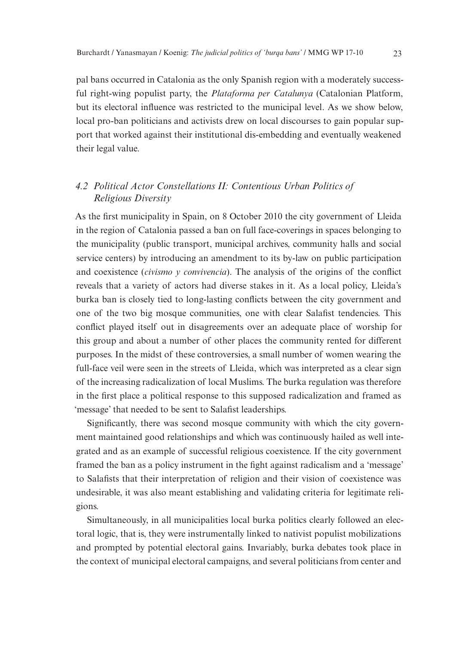pal bans occurred in Catalonia as the only Spanish region with a moderately successful right-wing populist party, the *Plataforma per Catalunya* (Catalonian Platform, but its electoral influence was restricted to the municipal level. As we show below, local pro-ban politicians and activists drew on local discourses to gain popular support that worked against their institutional dis-embedding and eventually weakened their legal value.

## *4.2 Political Actor Constellations II: Contentious Urban Politics of Religious Diversity*

As the first municipality in Spain, on 8 October 2010 the city government of Lleida in the region of Catalonia passed a ban on full face-coverings in spaces belonging to the municipality (public transport, municipal archives, community halls and social service centers) by introducing an amendment to its by-law on public participation and coexistence (*civismo y convivencia*). The analysis of the origins of the conflict reveals that a variety of actors had diverse stakes in it. As a local policy, Lleida's burka ban is closely tied to long-lasting conflicts between the city government and one of the two big mosque communities, one with clear Salafist tendencies. This conflict played itself out in disagreements over an adequate place of worship for this group and about a number of other places the community rented for different purposes. In the midst of these controversies, a small number of women wearing the full-face veil were seen in the streets of Lleida, which was interpreted as a clear sign of the increasing radicalization of local Muslims. The burka regulation was therefore in the first place a political response to this supposed radicalization and framed as 'message' that needed to be sent to Salafist leaderships.

Significantly, there was second mosque community with which the city government maintained good relationships and which was continuously hailed as well integrated and as an example of successful religious coexistence. If the city government framed the ban as a policy instrument in the fight against radicalism and a 'message' to Salafists that their interpretation of religion and their vision of coexistence was undesirable, it was also meant establishing and validating criteria for legitimate religions.

Simultaneously, in all municipalities local burka politics clearly followed an electoral logic, that is, they were instrumentally linked to nativist populist mobilizations and prompted by potential electoral gains. Invariably, burka debates took place in the context of municipal electoral campaigns, and several politicians from center and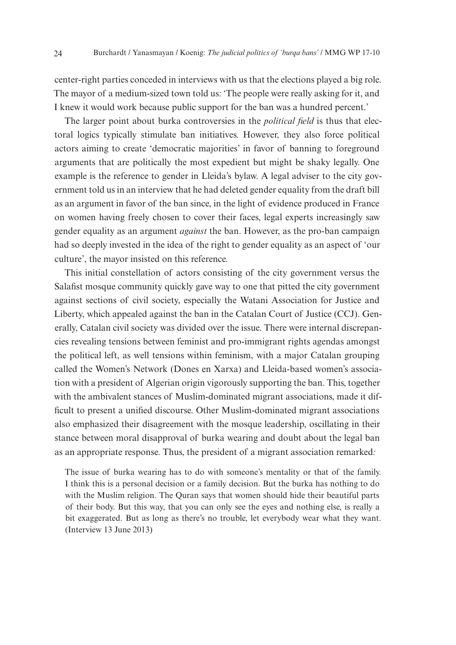center-right parties conceded in interviews with us that the elections played a big role. The mayor of a medium-sized town told us: 'The people were really asking for it, and I knew it would work because public support for the ban was a hundred percent.'

The larger point about burka controversies in the *political field* is thus that electoral logics typically stimulate ban initiatives. However, they also force political actors aiming to create 'democratic majorities' in favor of banning to foreground arguments that are politically the most expedient but might be shaky legally. One example is the reference to gender in Lleida's bylaw. A legal adviser to the city government told us in an interview that he had deleted gender equality from the draft bill as an argument in favor of the ban since, in the light of evidence produced in France on women having freely chosen to cover their faces, legal experts increasingly saw gender equality as an argument *against* the ban. However, as the pro-ban campaign had so deeply invested in the idea of the right to gender equality as an aspect of 'our culture', the mayor insisted on this reference.

This initial constellation of actors consisting of the city government versus the Salafist mosque community quickly gave way to one that pitted the city government against sections of civil society, especially the Watani Association for Justice and Liberty, which appealed against the ban in the Catalan Court of Justice (CCJ). Generally, Catalan civil society was divided over the issue. There were internal discrepancies revealing tensions between feminist and pro-immigrant rights agendas amongst the political left, as well tensions within feminism, with a major Catalan grouping called the Women's Network (Dones en Xarxa) and Lleida-based women's association with a president of Algerian origin vigorously supporting the ban. This, together with the ambivalent stances of Muslim-dominated migrant associations, made it difficult to present a unified discourse. Other Muslim-dominated migrant associations also emphasized their disagreement with the mosque leadership, oscillating in their stance between moral disapproval of burka wearing and doubt about the legal ban as an appropriate response. Thus, the president of a migrant association remarked*:* 

The issue of burka wearing has to do with someone's mentality or that of the family. I think this is a personal decision or a family decision. But the burka has nothing to do with the Muslim religion. The Quran says that women should hide their beautiful parts of their body. But this way, that you can only see the eyes and nothing else, is really a bit exaggerated. But as long as there's no trouble, let everybody wear what they want. (Interview 13 June 2013)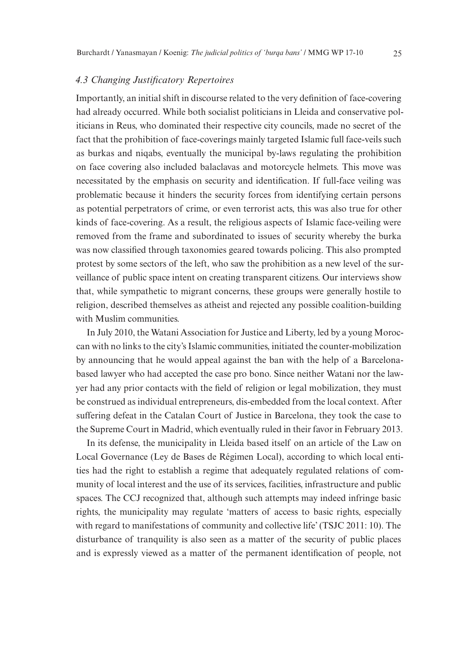#### *4.3 Changing Justificatory Repertoires*

Importantly, an initial shift in discourse related to the very definition of face-covering had already occurred. While both socialist politicians in Lleida and conservative politicians in Reus, who dominated their respective city councils, made no secret of the fact that the prohibition of face-coverings mainly targeted Islamic full face-veils such as burkas and niqabs, eventually the municipal by-laws regulating the prohibition on face covering also included balaclavas and motorcycle helmets. This move was necessitated by the emphasis on security and identification. If full-face veiling was problematic because it hinders the security forces from identifying certain persons as potential perpetrators of crime, or even terrorist acts, this was also true for other kinds of face-covering. As a result, the religious aspects of Islamic face-veiling were removed from the frame and subordinated to issues of security whereby the burka was now classified through taxonomies geared towards policing. This also prompted protest by some sectors of the left, who saw the prohibition as a new level of the surveillance of public space intent on creating transparent citizens. Our interviews show that, while sympathetic to migrant concerns, these groups were generally hostile to religion, described themselves as atheist and rejected any possible coalition-building with Muslim communities.

In July 2010, the Watani Association for Justice and Liberty, led by a young Moroccan with no links to the city's Islamic communities, initiated the counter-mobilization by announcing that he would appeal against the ban with the help of a Barcelonabased lawyer who had accepted the case pro bono. Since neither Watani nor the lawyer had any prior contacts with the field of religion or legal mobilization, they must be construed as individual entrepreneurs, dis-embedded from the local context. After suffering defeat in the Catalan Court of Justice in Barcelona, they took the case to the Supreme Court in Madrid, which eventually ruled in their favor in February 2013.

In its defense, the municipality in Lleida based itself on an article of the Law on Local Governance (Ley de Bases de Régimen Local), according to which local entities had the right to establish a regime that adequately regulated relations of community of local interest and the use of its services, facilities, infrastructure and public spaces. The CCJ recognized that, although such attempts may indeed infringe basic rights, the municipality may regulate 'matters of access to basic rights, especially with regard to manifestations of community and collective life' (TSJC 2011: 10). The disturbance of tranquility is also seen as a matter of the security of public places and is expressly viewed as a matter of the permanent identification of people, not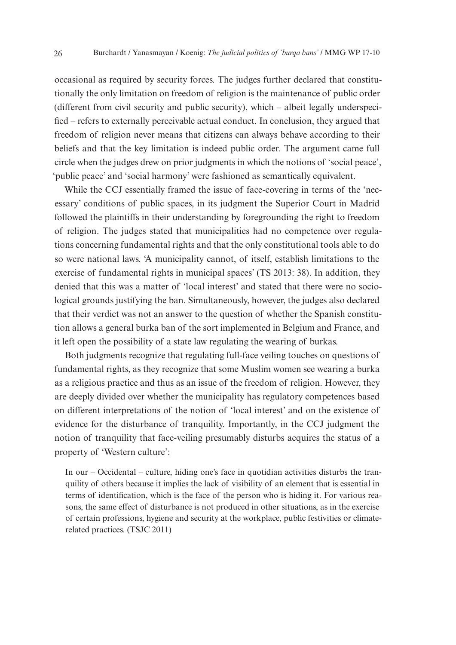occasional as required by security forces. The judges further declared that constitutionally the only limitation on freedom of religion is the maintenance of public order (different from civil security and public security), which – albeit legally underspecified – refers to externally perceivable actual conduct. In conclusion, they argued that freedom of religion never means that citizens can always behave according to their beliefs and that the key limitation is indeed public order. The argument came full circle when the judges drew on prior judgments in which the notions of 'social peace', 'public peace' and 'social harmony' were fashioned as semantically equivalent.

While the CCJ essentially framed the issue of face-covering in terms of the 'necessary' conditions of public spaces, in its judgment the Superior Court in Madrid followed the plaintiffs in their understanding by foregrounding the right to freedom of religion. The judges stated that municipalities had no competence over regulations concerning fundamental rights and that the only constitutional tools able to do so were national laws. 'A municipality cannot, of itself, establish limitations to the exercise of fundamental rights in municipal spaces' (TS 2013: 38). In addition, they denied that this was a matter of 'local interest' and stated that there were no sociological grounds justifying the ban. Simultaneously, however, the judges also declared that their verdict was not an answer to the question of whether the Spanish constitution allows a general burka ban of the sort implemented in Belgium and France, and it left open the possibility of a state law regulating the wearing of burkas.

Both judgments recognize that regulating full-face veiling touches on questions of fundamental rights, as they recognize that some Muslim women see wearing a burka as a religious practice and thus as an issue of the freedom of religion. However, they are deeply divided over whether the municipality has regulatory competences based on different interpretations of the notion of 'local interest' and on the existence of evidence for the disturbance of tranquility. Importantly, in the CCJ judgment the notion of tranquility that face-veiling presumably disturbs acquires the status of a property of 'Western culture':

In our – Occidental – culture, hiding one's face in quotidian activities disturbs the tranquility of others because it implies the lack of visibility of an element that is essential in terms of identification, which is the face of the person who is hiding it. For various reasons, the same effect of disturbance is not produced in other situations, as in the exercise of certain professions, hygiene and security at the workplace, public festivities or climaterelated practices. (TSJC 2011)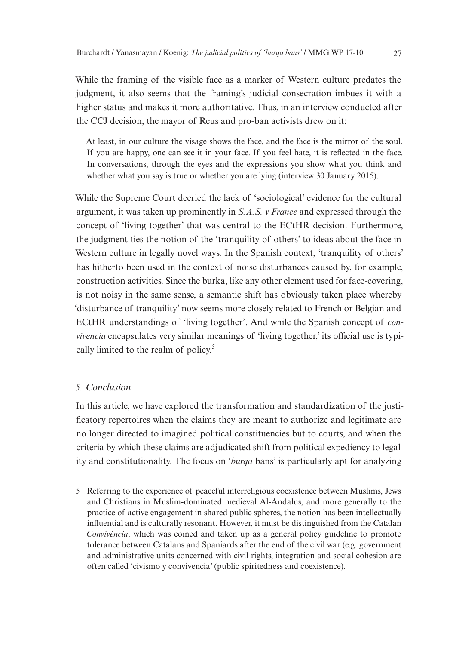While the framing of the visible face as a marker of Western culture predates the judgment, it also seems that the framing's judicial consecration imbues it with a higher status and makes it more authoritative. Thus, in an interview conducted after the CCJ decision, the mayor of Reus and pro-ban activists drew on it:

At least, in our culture the visage shows the face, and the face is the mirror of the soul. If you are happy, one can see it in your face. If you feel hate, it is reflected in the face. In conversations, through the eyes and the expressions you show what you think and whether what you say is true or whether you are lying (interview 30 January 2015).

While the Supreme Court decried the lack of 'sociological' evidence for the cultural argument, it was taken up prominently in *S.A.S. v France* and expressed through the concept of 'living together' that was central to the ECtHR decision. Furthermore, the judgment ties the notion of the 'tranquility of others' to ideas about the face in Western culture in legally novel ways. In the Spanish context, 'tranquility of others' has hitherto been used in the context of noise disturbances caused by, for example, construction activities. Since the burka, like any other element used for face-covering, is not noisy in the same sense, a semantic shift has obviously taken place whereby 'disturbance of tranquility' now seems more closely related to French or Belgian and ECtHR understandings of 'living together'. And while the Spanish concept of *convivencia* encapsulates very similar meanings of 'living together,' its official use is typically limited to the realm of policy.<sup>5</sup>

#### *5. Conclusion*

In this article, we have explored the transformation and standardization of the justificatory repertoires when the claims they are meant to authorize and legitimate are no longer directed to imagined political constituencies but to courts, and when the criteria by which these claims are adjudicated shift from political expediency to legality and constitutionality. The focus on '*burqa* bans' is particularly apt for analyzing

<sup>5</sup> Referring to the experience of peaceful interreligious coexistence between Muslims, Jews and Christians in Muslim-dominated medieval Al-Andalus, and more generally to the practice of active engagement in shared public spheres, the notion has been intellectually influential and is culturally resonant. However, it must be distinguished from the Catalan *Convivència*, which was coined and taken up as a general policy guideline to promote tolerance between Catalans and Spaniards after the end of the civil war (e.g. government and administrative units concerned with civil rights, integration and social cohesion are often called 'civismo y convivencia' (public spiritedness and coexistence).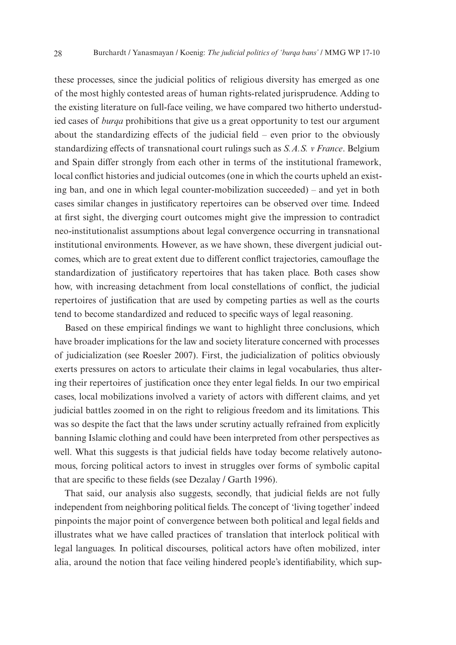these processes, since the judicial politics of religious diversity has emerged as one of the most highly contested areas of human rights-related jurisprudence. Adding to the existing literature on full-face veiling, we have compared two hitherto understudied cases of *burqa* prohibitions that give us a great opportunity to test our argument about the standardizing effects of the judicial field – even prior to the obviously standardizing effects of transnational court rulings such as *S.A.S. v France*. Belgium and Spain differ strongly from each other in terms of the institutional framework, local conflict histories and judicial outcomes (one in which the courts upheld an existing ban, and one in which legal counter-mobilization succeeded) – and yet in both cases similar changes in justificatory repertoires can be observed over time. Indeed at first sight, the diverging court outcomes might give the impression to contradict neo-institutionalist assumptions about legal convergence occurring in transnational institutional environments. However, as we have shown, these divergent judicial outcomes, which are to great extent due to different conflict trajectories, camouflage the standardization of justificatory repertoires that has taken place. Both cases show how, with increasing detachment from local constellations of conflict, the judicial repertoires of justification that are used by competing parties as well as the courts tend to become standardized and reduced to specific ways of legal reasoning.

Based on these empirical findings we want to highlight three conclusions, which have broader implications for the law and society literature concerned with processes of judicialization (see Roesler 2007). First, the judicialization of politics obviously exerts pressures on actors to articulate their claims in legal vocabularies, thus altering their repertoires of justification once they enter legal fields. In our two empirical cases, local mobilizations involved a variety of actors with different claims, and yet judicial battles zoomed in on the right to religious freedom and its limitations. This was so despite the fact that the laws under scrutiny actually refrained from explicitly banning Islamic clothing and could have been interpreted from other perspectives as well. What this suggests is that judicial fields have today become relatively autonomous, forcing political actors to invest in struggles over forms of symbolic capital that are specific to these fields (see Dezalay / Garth 1996).

That said, our analysis also suggests, secondly, that judicial fields are not fully independent from neighboring political fields. The concept of 'living together' indeed pinpoints the major point of convergence between both political and legal fields and illustrates what we have called practices of translation that interlock political with legal languages. In political discourses, political actors have often mobilized, inter alia, around the notion that face veiling hindered people's identifiability, which sup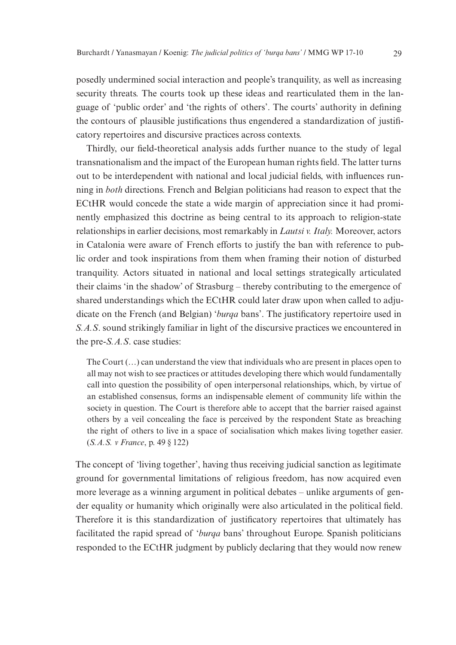posedly undermined social interaction and people's tranquility, as well as increasing security threats. The courts took up these ideas and rearticulated them in the language of 'public order' and 'the rights of others'. The courts' authority in defining the contours of plausible justifications thus engendered a standardization of justificatory repertoires and discursive practices across contexts.

Thirdly, our field-theoretical analysis adds further nuance to the study of legal transnationalism and the impact of the European human rights field. The latter turns out to be interdependent with national and local judicial fields, with influences running in *both* directions. French and Belgian politicians had reason to expect that the ECtHR would concede the state a wide margin of appreciation since it had prominently emphasized this doctrine as being central to its approach to religion-state relationships in earlier decisions, most remarkably in *Lautsi v. Italy.* Moreover, actors in Catalonia were aware of French efforts to justify the ban with reference to public order and took inspirations from them when framing their notion of disturbed tranquility. Actors situated in national and local settings strategically articulated their claims 'in the shadow' of Strasburg – thereby contributing to the emergence of shared understandings which the ECtHR could later draw upon when called to adjudicate on the French (and Belgian) '*burqa* bans'. The justificatory repertoire used in *S.A.S*. sound strikingly familiar in light of the discursive practices we encountered in the pre-*S.A.S*. case studies:

The Court (…) can understand the view that individuals who are present in places open to all may not wish to see practices or attitudes developing there which would fundamentally call into question the possibility of open interpersonal relationships, which, by virtue of an established consensus, forms an indispensable element of community life within the society in question. The Court is therefore able to accept that the barrier raised against others by a veil concealing the face is perceived by the respondent State as breaching the right of others to live in a space of socialisation which makes living together easier. (*S.A.S. v France*, p. 49 § 122)

The concept of 'living together', having thus receiving judicial sanction as legitimate ground for governmental limitations of religious freedom, has now acquired even more leverage as a winning argument in political debates – unlike arguments of gender equality or humanity which originally were also articulated in the political field. Therefore it is this standardization of justificatory repertoires that ultimately has facilitated the rapid spread of '*burqa* bans' throughout Europe. Spanish politicians responded to the ECtHR judgment by publicly declaring that they would now renew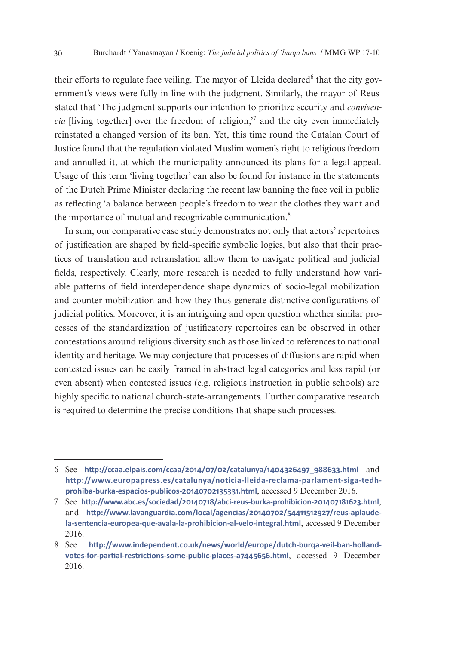their efforts to regulate face veiling. The mayor of Lleida declared <sup>6</sup> that the city government's views were fully in line with the judgment. Similarly, the mayor of Reus stated that 'The judgment supports our intention to prioritize security and *convivencia* [living together] over the freedom of religion,<sup> $\frac{7}{7}$ </sup> and the city even immediately reinstated a changed version of its ban. Yet, this time round the Catalan Court of Justice found that the regulation violated Muslim women's right to religious freedom and annulled it, at which the municipality announced its plans for a legal appeal. Usage of this term 'living together' can also be found for instance in the statements of the Dutch Prime Minister declaring the recent law banning the face veil in public as reflecting 'a balance between people's freedom to wear the clothes they want and the importance of mutual and recognizable communication.<sup>8</sup>

In sum, our comparative case study demonstrates not only that actors' repertoires of justification are shaped by field-specific symbolic logics, but also that their practices of translation and retranslation allow them to navigate political and judicial fields, respectively. Clearly, more research is needed to fully understand how variable patterns of field interdependence shape dynamics of socio-legal mobilization and counter-mobilization and how they thus generate distinctive configurations of judicial politics. Moreover, it is an intriguing and open question whether similar processes of the standardization of justificatory repertoires can be observed in other contestations around religious diversity such as those linked to references to national identity and heritage. We may conjecture that processes of diffusions are rapid when contested issues can be easily framed in abstract legal categories and less rapid (or even absent) when contested issues (e.g. religious instruction in public schools) are highly specific to national church-state-arrangements. Further comparative research is required to determine the precise conditions that shape such processes.

<sup>6</sup> See **http:/[/ccaa.elpais.com/ccaa/2014/07/02/catalunya/1404326497\\_988633.html](http://ccaa.elpais.com/ccaa/2014/07/02/catalunya/1404326497_988633.html)** and **http:/[/www.europapress.es/catalunya/noticia-lleida-reclama-parlament-siga-tedh](http://www.europapress.es/catalunya/noticia-lleida-reclama-parlament-siga-tedh-prohiba-burka-espacios-publicos-20140702135331.html)[prohiba-burka-espacios-publicos-20140702135331.html](http://www.europapress.es/catalunya/noticia-lleida-reclama-parlament-siga-tedh-prohiba-burka-espacios-publicos-20140702135331.html)**, accessed 9 December 2016.

<sup>7</sup> See **http:/[/www.abc.es/sociedad/20140718/abci-reus-burka-prohibicion-201407181623.html](http://www.abc.es/sociedad/20140718/abci-reus-burka-prohibicion-201407181623.html)**, and **http:/[/www.lavanguardia.com/local/agencias/20140702/54411512927/reus-aplaude](http://www.lavanguardia.com/local/agencias/20140702/54411512927/reus-aplaude-la-sentencia-europea-que-avala-la-prohibicion-al-velo-integral.html)[la-sentencia-europea-que-avala-la-prohibicion-al-velo-integral.html](http://www.lavanguardia.com/local/agencias/20140702/54411512927/reus-aplaude-la-sentencia-europea-que-avala-la-prohibicion-al-velo-integral.html)**, accessed 9 December 2016.

<sup>8</sup> See **http:/[/www.independent.co.uk/news/world/europe/dutch-burqa-veil-ban-holland](http://www.independent.co.uk/news/world/europe/dutch-burqa-veil-ban-holland-votes-for-partial-restrictions-some-public-places-a7445656.html)[votes-for-partial-restrictions-some-public-places-a7445656.html](http://www.independent.co.uk/news/world/europe/dutch-burqa-veil-ban-holland-votes-for-partial-restrictions-some-public-places-a7445656.html)**, accessed 9 December 2016.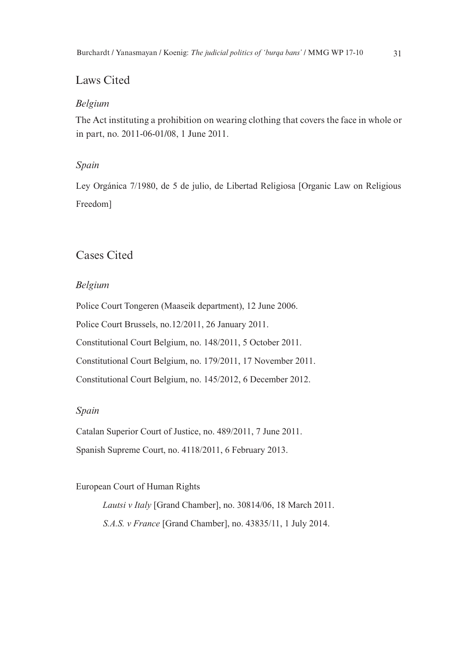# Laws Cited

#### *Belgium*

The Act instituting a prohibition on wearing clothing that covers the face in whole or in part, no. 2011-06-01/08, 1 June 2011.

#### *Spain*

Ley Orgánica 7/1980, de 5 de julio, de Libertad Religiosa [Organic Law on Religious Freedom]

# Cases Cited

#### *Belgium*

Police Court Tongeren (Maaseik department), 12 June 2006. Police Court Brussels, no.12/2011, 26 January 2011. Constitutional Court Belgium, no. 148/2011, 5 October 2011. Constitutional Court Belgium, no. 179/2011, 17 November 2011. Constitutional Court Belgium, no. 145/2012, 6 December 2012.

#### *Spain*

Catalan Superior Court of Justice, no. 489/2011, 7 June 2011. Spanish Supreme Court, no. 4118/2011, 6 February 2013.

#### European Court of Human Rights

*Lautsi v Italy* [Grand Chamber], no. 30814/06, 18 March 2011. *S.A.S. v France* [Grand Chamber], no. 43835/11, 1 July 2014.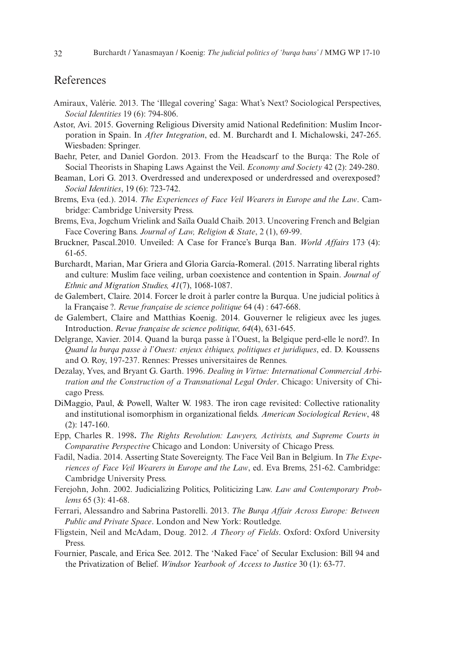# References

- Amiraux, Valérie. 2013. The 'Illegal covering' Saga: What's Next? Sociological Perspectives, *Social Identities* 19 (6): 794-806.
- Astor, Avi. 2015. Governing Religious Diversity amid National Redefinition: Muslim Incorporation in Spain. In *After Integration*, ed. M. Burchardt and I. Michalowski, 247-265. Wiesbaden: Springer.
- Baehr, Peter, and Daniel Gordon. 2013. From the Headscarf to the Burqa: The Role of Social Theorists in Shaping Laws Against the Veil. *Economy and Society* 42 (2): 249-280.
- Beaman, Lori G. 2013. Overdressed and underexposed or underdressed and overexposed? *Social Identities*, 19 (6): 723-742.
- Brems, Eva (ed.). 2014. *The Experiences of Face Veil Wearers in Europe and the Law*. Cambridge: Cambridge University Press.
- Brems, Eva, Jogchum Vrielink and Saïla Ouald Chaib. 2013. Uncovering French and Belgian Face Covering Bans. *Journal of Law, Religion & State*, 2 (1), 69-99.
- Bruckner, Pascal.2010. Unveiled: A Case for France's Burqa Ban. *World Affairs* 173 (4): 61-65.
- Burchardt, Marian, Mar Griera and Gloria García-Romeral. (2015. Narrating liberal rights and culture: Muslim face veiling, urban coexistence and contention in Spain. *Journal of Ethnic and Migration Studies, 41*(7), 1068-1087.
- de Galembert, Claire. 2014. Forcer le droit à parler contre la Burqua. Une judicial politics à la Française ?. *Revue française de science politique* 64 (4) : 647-668.
- de Galembert, Claire and Matthias Koenig. 2014. Gouverner le religieux avec les juges. Introduction. *Revue française de science politique, 64*(4), 631-645.
- Delgrange, Xavier. 2014. Quand la burqa passe à l'Ouest, la Belgique perd-elle le nord?. In *Quand la burqa passe à l'Ouest: enjeux éthiques, politiques et juridiques*, ed. D. Koussens and O. Roy, 197-237. Rennes: Presses universitaires de Rennes.
- Dezalay, Yves, and Bryant G. Garth. 1996. *Dealing in Virtue: International Commercial Arbitration and the Construction of a Transnational Legal Order*. Chicago: University of Chicago Press.
- DiMaggio, Paul, & Powell, Walter W. 1983. The iron cage revisited: Collective rationality and institutional isomorphism in organizational fields. *American Sociological Review*, 48 (2): 147-160.
- Epp, Charles R. 1998**.** *The Rights Revolution: Lawyers, Activists, and Supreme Courts in Comparative Perspective* Chicago and London: University of Chicago Press.
- Fadil, Nadia. 2014. Asserting State Sovereignty. The Face Veil Ban in Belgium. In *The Experiences of Face Veil Wearers in Europe and the Law*, ed. Eva Brems, 251-62. Cambridge: Cambridge University Press.
- Ferejohn, John. 2002. Judicializing Politics, Politicizing Law. *Law and Contemporary Problems* 65 (3): 41-68.
- Ferrari, Alessandro and Sabrina Pastorelli. 2013. *The Burqa Affair Across Europe: Between Public and Private Space*. London and New York: Routledge.
- Fligstein, Neil and McAdam, Doug. 2012. *A Theory of Fields*. Oxford: Oxford University Press.
- Fournier, Pascale, and Erica See. 2012. The 'Naked Face' of Secular Exclusion: Bill 94 and the Privatization of Belief. *Windsor Yearbook of Access to Justice* 30 (1): 63-77.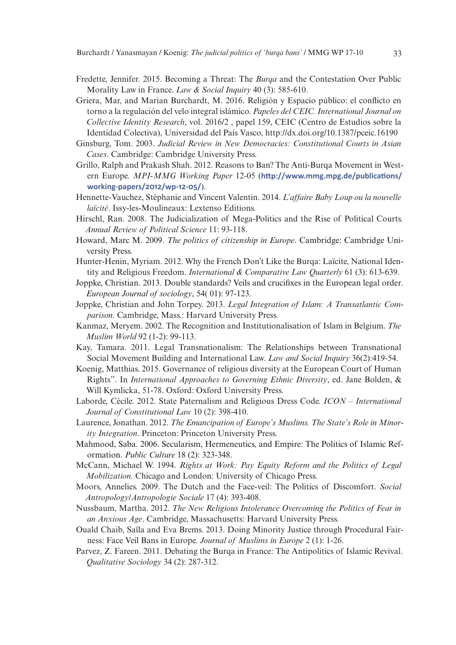- Fredette, Jennifer. 2015. Becoming a Threat: The *Burqa* and the Contestation Over Public Morality Law in France. *Law & Social Inquiry* 40 (3): 585-610.
- Griera, Mar, and Marian Burchardt, M. 2016. Religión y Espacio público: el conflicto en torno a la regulación del velo integral islámico. *Papeles del CEIC. International Journal on Collective Identity Research*, vol. 2016/2 , papel 159, CEIC (Centro de Estudios sobre la Identidad Colectiva), Universidad del País Vasco, http://dx.doi.org/10.1387/pceic.16190
- Ginsburg, Tom. 2003. *Judicial Review in New Democracies: Constitutional Courts in Asian Cases*. Cambridge: Cambridge University Press.
- Grillo, Ralph and Prakash Shah. 2012. Reasons to Ban? The Anti-Burqa Movement in Western Europe. *MPI-MMG Working Paper* 12-05 (**[http://www.mmg.mpg.de/publications/](http://www.mmg.mpg.de/publications/working-papers/2012/wp-12-05/) [working-papers/2012/wp-12-05/](http://www.mmg.mpg.de/publications/working-papers/2012/wp-12-05/)**).
- Hennette-Vauchez, Stéphanie and Vincent Valentin. 2014. *L'affaire Baby Loup ou la nouvelle laïcité*. Issy-les-Moulineaux: Lextenso Editions.
- Hirschl, Ran. 2008. The Judicialization of Mega-Politics and the Rise of Political Courts. *Annual Review of Political Science* 11: 93-118.
- Howard, Marc M. 2009. *The politics of citizenship in Europe*. Cambridge: Cambridge University Press.
- Hunter-Henin, Myriam. 2012. Why the French Don't Like the Burqa: Laïcite, National Identity and Religious Freedom. *International & Comparative Law Quarterly* 61 (3): 613-639.
- Joppke, Christian. 2013. Double standards? Veils and crucifixes in the European legal order. *European Journal of sociology*, 54( 01): 97-123.
- Joppke, Christian and John Torpey. 2013. *Legal Integration of Islam: A Transatlantic Comparison*. Cambridge, Mass.: Harvard University Press.
- Kanmaz, Meryem. 2002. The Recognition and Institutionalisation of Islam in Belgium. *The Muslim World* 92 (1-2): 99-113.
- Kay, Tamara. 2011. Legal Transnationalism: The Relationships between Transnational Social Movement Building and International Law. *Law and Social Inquiry* 36(2):419-54.
- Koenig, Matthias. 2015. Governance of religious diversity at the European Court of Human Rights". In *International Approaches to Governing Ethnic Diversity*, ed. Jane Bolden, & Will Kymlicka, 51-78. Oxford: Oxford University Press.
- Laborde, Cécile. 2012. State Paternalism and Religious Dress Code. *ICON International Journal of Constitutional Law* 10 (2): 398-410.
- Laurence, Jonathan. 2012. *The Emancipation of Europe's Muslims. The State's Role in Minority Integration*. Princeton: Princeton University Press.
- Mahmood, Saba. 2006. Secularism, Hermeneutics, and Empire: The Politics of Islamic Reformation. *Public Culture* 18 (2): 323-348.
- McCann, Michael W. 1994. *Rights at Work: Pay Equity Reform and the Politics of Legal Mobilization.* Chicago and London: University of Chicago Press.
- Moors, Annelies. 2009. The Dutch and the Face-veil: The Politics of Discomfort. *Social Antropology/Antropologie Sociale* 17 (4): 393-408.
- Nussbaum, Martha. 2012. *The New Religious Intolerance Overcoming the Politics of Fear in an Anxious Age*. Cambridge, Massachusetts: Harvard University Press.
- Ouald Chaib, Saïla and Eva Brems. 2013. Doing Minority Justice through Procedural Fairness: Face Veil Bans in Europe. *Journal of Muslims in Europe* 2 (1): 1-26.
- Parvez, Z. Fareen. 2011. Debating the Burqa in France: The Antipolitics of Islamic Revival. *Qualitative Sociology* 34 (2): 287-312.